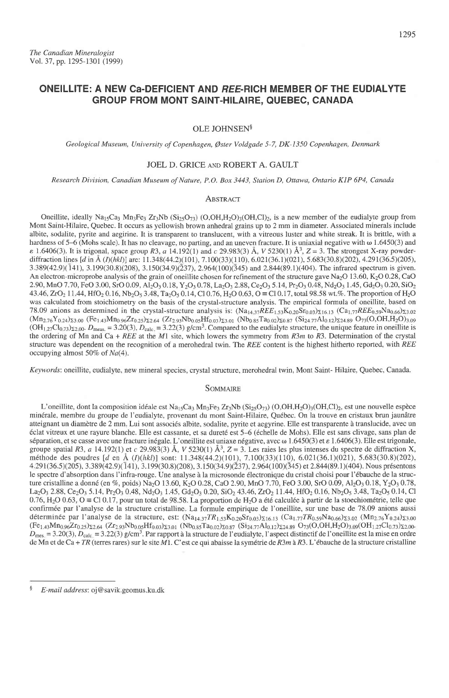# ONEILLITE: A NEW CA-DEFICIENT AND REE-RICH MEMBER OF THE EUDIALYTE GROUP FROM MONT SAINT.HILAIRE. QUEBEC. CANADA

# OLE JOHNSEN<sup>§</sup>

Geological Museum, University of Copenhagen, Øster Voldgade 5-7, DK-1350 Copenhagen, Denmark

# JOEL D. GRICE AND ROBERT A. GAULT

#### Research Division, Canadian Museum of Nature, P.O. Box 3443, Station D, Ottawa, Ontario KIP 6P4, Canada

#### **ABSTRACT**

Oneillite, ideally Na<sub>15</sub>Ca<sub>3</sub> Mn<sub>3</sub>Fe<sub>3</sub> Zr<sub>3</sub>Nb (Si<sub>25</sub>O<sub>73</sub>) (O,OH,H<sub>2</sub>O)<sub>3</sub>(OH,Cl)<sub>2</sub>, is a new member of the eudialyte group from Mont Saint-Hilaire, Quebec. It occurs as yellowish brown anhedral grains up to 2 mm in diameter. Associated minerals include albite, sodalite, pyrite and aegirine. It is transparent to translucent, with a vitreous luster and white streak. It is brittle, with a hardness of 5–6 (Mohs scale). It has no cleavage, no parting, and an uneven fracture. It is uniaxial negative with  $\omega$  1.6450(3) and  $\varepsilon$  1.6406(3). It is trigonal, space group R3, a 14.192(1) and c 29.983(3) Å, V 5230(1) Å<sup>3</sup>, Z = 3. The strongest X-ray powderdiffraction lines [d in Å (I)(hkl)] are: 11.348(44.2)(101), 7.100(33)(110), 6.021(36.1)(021), 5.683(30.8)(202), 4.291(36.5)(205),  $3.389(42.9)(141)$ ,  $3.199(30.8)(208)$ ,  $3.150(34.9)(237)$ ,  $2.964(100)(345)$  and  $2.844(89.1)(404)$ . The infrared spectrum is given. An electron-microprobe analysis of the grain of oneillite chosen for refinement of the structure gave Na<sub>2</sub>O 13.60, K<sub>2</sub>O 0.28, CaO 2.90, MnO 7.70, FeO 3.00, SrO 0.09, Al<sub>2</sub>O<sub>3</sub> 0.18, Y<sub>2</sub>O<sub>3</sub> 0.78, La<sub>2</sub>O<sub>3</sub> 2.88, Ce<sub>2</sub>O<sub>3</sub> 5.14, Pr<sub>2</sub>O<sub>3</sub> 0.48, Nd<sub>2</sub>O<sub>3</sub> 1.45, Gd<sub>2</sub>O<sub>3</sub> 0.20, SiO<sub>2</sub> 43.46,  $ZrO_2$  11,44, HfO<sub>2</sub> 0.16, Nb<sub>2</sub>O<sub>5</sub> 3.48, Ta<sub>2</sub>O<sub>5</sub> 0.14, Cl 0.76, H<sub>2</sub>O 0.63, O = Cl 0.17, total 98.58 wt.%. The proportion of H<sub>2</sub>O was calcuiated from stoichiometry on the basis of the crystal-structure analysis. The empirical formula of oneillite, based on 78.09 anions as determined in the crystal-structure analysis is:  $(Na_{14,37}REE_{1,53}K_{0,20}Sr_{0.03})z_{16,13}$   $(Ca_{1,77}REE_{0,59}Na_{0,66})z_{3.02}$  $(Mn_{2.76}Y_{0.24})z_{3.00}$  (Fe<sub>1.43</sub>Mn<sub>0.96</sub>Zr<sub>0.25</sub>)<sub>22.64</sub> (Zr<sub>2.93</sub>Nb<sub>0.05</sub>Hf<sub>0.03</sub>)<sub>23.01</sub> (Nb<sub>0.85</sub>Ta<sub>0.02</sub>)<sub>20.87</sub> (Si<sub>24.77</sub>Al<sub>0.12</sub>)<sub>224.89</sub> O<sub>73</sub>(O,OH,H<sub>2</sub>O)<sub>3.09</sub>  $(OH_{1,27}Cl_{0,73})_{22,00}$ .  $D_{\text{meas}} = 3.20(3)$ ,  $D_{\text{calc}} = 3.22(3)$  g/cm<sup>3</sup>. Compared to the eudialyte structure, the unique feature in oneillite is the ordering of Mn and Ca + REE at the M1 site, which lowers the symmetry from  $R3m$  to R3. Determination of the crystal structure was dependent on the recognition of a merohedral twin. The REE content is the highest hitherto reported, with REE occupying almost 50% of Na(4).

Keywords: oneillite, eudialyte, new mineral species, crystal structure, merohedral twin, Mont Saint- Hilaire, Quebec, Canada.

### SOMMAIRE

L'oneillite, dont la composition idéale est Na<sub>15</sub>Ca<sub>3</sub> Mn<sub>3</sub>Fe<sub>3</sub> Zr<sub>3</sub>Nb (Si<sub>25</sub>O<sub>73</sub>) (O,OH,H<sub>2</sub>O)<sub>3</sub>(OH,Cl)<sub>2</sub>, est une nouvelle espèce minérale, membre du groupe de l'eudialyte, provenant du mont Saint-Hilaire, Québec. On la trouve en cristaux brun jaunâtre atteignant un diamdtre de 2 mm Lui sont associ6s albite, sodalite, pyrite et aegyrine. Elle est transparente d translucide, avec un dclat vitreux et une rayure blanche. Elle est cassante, et sa duret6 est 5-6 (6che11e de Mohs). Elle est sans clivage, sans plan de séparation, et se casse avec une fracture inégale. L'oneillite est uniaxe négative, avec  $\omega$  1.6450(3) et e 1.6406(3). Elle est trigonale, groupe spatial R3, a 14.192(1) et c 29.983(3) Å, V 5230(1) Å<sup>3</sup>, Z = 3. Les raies les plus intenses du spectre de diffraction X, méthode des poudres [d en Å (I)(hkl)] sont: 11.348(44.2)(101), 7.100(33)(110), 6.021(36.1)(021), 5.683(30.8)(202), 4.291(36.5)(205), 3.389(42.9)(141), 3.199(30.8)(208), 3.150(34.9)(237), 2.964(100)(345) et 2.844(89.1)(404). Nous présentons le spectre d'absorption dans l'infra-rouge. Une analyse à la microsonde électronique du cristal choisi pour l'ébauche de la structure cristalline a donné (en %, poids) Na<sub>2</sub>O 13.60, K<sub>2</sub>O 0.28, CaO 2.90, MnO 7.70, FeO 3.00, SrO 0.09, Al<sub>2</sub>O<sub>3</sub> 0.18, Y<sub>2</sub>O<sub>3</sub> 0.78, La<sub>2</sub>O<sub>3</sub> 2.88, Ce<sub>2</sub>O<sub>3</sub> 5.14, Pr<sub>2</sub>O<sub>3</sub> 0.48, Nd<sub>2</sub>O<sub>3</sub> 1.45, Gd<sub>2</sub>O<sub>3</sub> 0.20, SiO<sub>2</sub> 43.46, ZrO<sub>2</sub> 11.44, HfO<sub>2</sub> 0.16, Nb<sub>2</sub>O<sub>5</sub> 3.48, Ta<sub>2</sub>O<sub>5</sub> 0.14, Cl  $0.76$ , H<sub>2</sub>O  $0.63$ , O  $\equiv$  Cl  $0.17$ , pour un total de 98.58. La proportion de H<sub>2</sub>O a été calculée à partir de la stoechiométrie, telle que confirmée par l'analyse de la structure cristalline. La formule empirique de l'oneillite, sur une base de 78.09 anions aussi déterminée par l'analyse de la structure, est:  $(Na_{14.37}TR_{1.53}K_{0.20}Sr_{0.03})\Sigma_{16.13}$   $(Ca_{1.77}TR_{0.59}Na_{0.66})\Sigma_{3.02}$   $(Mn_{2.76}Y_{0.24})\Sigma_{3,00}$  $(Fe_{1,43}Mn_{0,96}Zr_{0,25})_{2,2,64}$   $(Zr_{2,93}Nb_{0,05}Hf_{0,03})_{23,01}$   $(Nb_{0,85}Ta_{0,02})_{2,0,87}$   $(Si_{24,77}Al_{0,12})_{2,24,89}$   $O_{73}(O,OH,H_2O)_{3,09}(OH_{1,27}Cl_{0,73})_{2,2,00}$  $D_{\text{mes.}} = 3.20(3), D_{\text{calc.}} = 3.22(3)$  g/cm<sup>3</sup>. Par rapport à la structure de l'eudialyte, l'aspect distinctif de l'oneillite est la mise en ordre de Mn et de Ca + TR (terres rares) sur le site M1. C'est ce qui abaisse la symétrie de R3m à R3. L'ébauche de la structure cristalline

F E-mail address: oj@savik geomus.ku.dk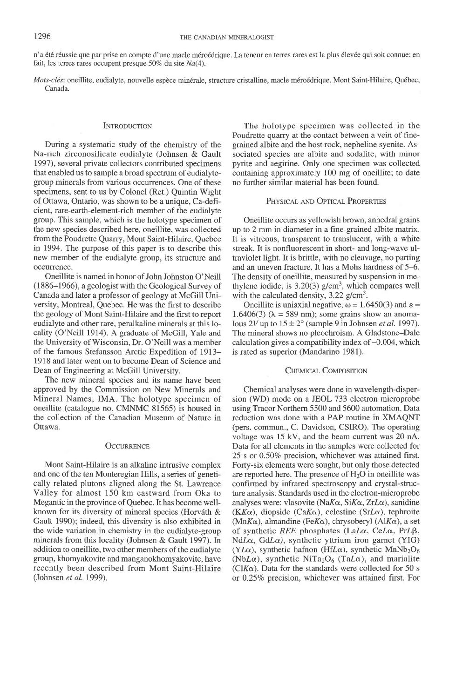n'a été réussie que par prise en compte d'une macle méroédrique. La teneur en terres rares est la plus élevée qui soit connue; en fait, les terres rares occupent presque 50% du site  $Na(4)$ .

Mots-clés: oneillite, eudialyte, nouvelle espèce minérale, structure cristalline, macle méroédrique, Mont Saint-Hilaire, Québec, Canada.

#### **INTRODUCTION**

During a systematic study of the chemistry of the Na-rich zirconosilicate eudialyte (Johnsen & Gault 1997), several private collectors contributed specimens that enabled us to sample a broad spectrum of eudialytegroup minerals from various occurrences. One of these specimens, sent to us by Colonel (Ret.) Quintin Wight of Ottawa, Ontario, was shown to be a unique, Ca-deficient, rare-earth-element-rich member of the eudialyte group. This sample, which is the holotype specimen of the new species described here, oneillite, was collected from the Poudrette Quarry, Mont Saint-Hilaire, Quebec in 1994. The purpose of this paper is to describe this new member of the eudialyte group, its structure and occurrence.

Oneillite is named in honor of John Johnston O'Neill (1886-1966), a geologist with the Geological Survey of Canada and later a professor of geology at McGill University, Montreal, Quebec. He was the first to describe the geology of Mont Saint-Hilaire and the first to report eudialyte and other rare, peralkaline minerals at this locality (O'Neill 1914). A graduare of McGill, Yale and the University of Wisconsin, Dr. O'Neill was a member of the famous Stefansson Arctic Expedition of 1913- 1918 and later went on to become Dean of Science and Dean of Engineering at McGill University.

The new mineral species and its name have been approved by the Commission on New Minerals and Mineral Names, IMA. The holotype specimen of oneillite (catalogue no. CMNMC 81565) is housed in the collection of the Canadian Museum of Nature in Ottawa.

# **OCCURRENCE**

Mont Saint-Hilaire is an alkaline intrusive complex and one of the ten Monteregian Hills. a series of genetically related plutons aligned along the St. Lawrence Valley for almost 150 km eastward from Oka to Megantic in the province of Quebec. It has become wellknown for its diversity of mineral species (Horváth & Gault 1990); indeed, this diversity is also exhibited in the wide variation in chemistry in the eudialyte-group minerals from this locality (Johnsen & Gault 1997). In addition to oneillite, two other members of the eudialyte group, khomyakovite and manganokhomyakovite, have recently been described from Mont Saint-Hilaire (Johnsen et al. 1999).

The holotype specimen was collected in the Poudrette quarry at the contact between a vein of finegrained albite and the host rock, nepheline syenite. Associated species are albite and sodalite, with minor pyrite and aegirine. Only one specimen was collected containing approximately 100 mg of oneillite; to date no further similar material has been found.

### PHYSICAL AND OPTICAL PROPERTIES

Oneillite occurs as yellowish brown, anhedral grains up to 2 mm in diameter in a fine-grained albite matrix. It is vitreous, transparent to translucent, with a white streak. It is nonfluorescent in short- and long-wave ultraviolet light. It is brittle, with no cleavage, no parting and an uneven fracture. It has a Mohs hardness of 5-6. The density of oneillite, measured by suspension in methylene iodide, is  $3.20(3)$  g/cm<sup>3</sup>, which compares well with the calculated density,  $3.22$  g/cm<sup>3</sup>.

Oneillite is uniaxial negative,  $\omega = 1.6450(3)$  and  $\varepsilon =$ 1.6406(3) ( $\lambda = 589$  nm); some grains show an anomalous 2V up to  $15 \pm 2^{\circ}$  (sample 9 in Johnsen *et al.* 1997). The mineral shows no pleochroism. A Gladstone-Dale calculation gives a compatibility index of  $-0.004$ , which is rated as superior (Mandarino 1981).

#### CHEMICAL COMPOSITION

Chemical analyses were done in wavelength-dispersion (WD) mode on a JEOL 733 electron microprobe using Tracor Northern 5500 and 5600 automation. Data reduction was done with a PAP routine in XMAQNT (pers. commun., C. Davidson, CSIRO). The operating voltage was 15 kV, and the beam current was 20 nA. Data for all elements in the samples were collected for 25 s or 0.507o precision, whichever was attained first. Forty-six elements were sought, but only those detected are reported here. The presence of  $H_2O$  in oneillite was confirmed by infrared spectroscopy and crystal-structure analysis. Standards used in the electron-microprobe analyses were: vlasovite (NaK $\alpha$ , SiK $\alpha$ , ZrL $\alpha$ ), sanidine (KK $\alpha$ ), diopside (CaK $\alpha$ ), celestine (SrL $\alpha$ ), tephroite  $(MnK\alpha)$ , almandine (Fe $K\alpha$ ), chrysoberyl (Al $K\alpha$ ), a set of synthetic REE phosphates (LaL $\alpha$ , CeL $\alpha$ , PrL $\beta$ , NdL $\alpha$ , GdL $\alpha$ ), synthetic yttrium iron garnet (YIG) (YL $\alpha$ ), synthetic hafnon (HfL $\alpha$ ), synthetic MnNb<sub>2</sub>O<sub>6</sub> (NbL $\alpha$ ), synthetic NiTa<sub>2</sub>O<sub>6</sub> (TaL $\alpha$ ), and marialite ( $ClK\alpha$ ). Data for the standards were collected for 50 s or 0.25% precision, whichever was attained first. For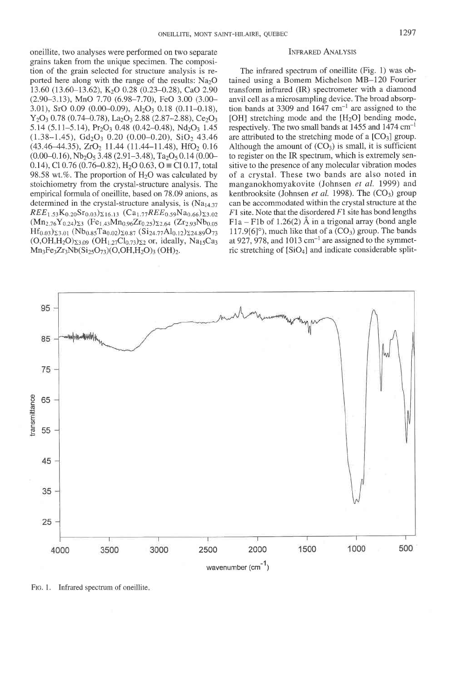oneillite, two analyses were performed on two separate INFRARED ANALYSIS grains taken from the unique specimen. The composition of the grain selected for structure analysis is reported here along with the range of the results:  $Na<sub>2</sub>O$ 13.60 (13.60-13.62), K2O 0.28 (0.23-0.28), CaO 2.90  $(2.90-3.13)$ , MnO 7.70  $(6.98-7.70)$ , FeO 3.00  $(3.00-$ 3.01), SrO 0.09 (0.00-0.09), Al<sub>2</sub>O<sub>3</sub> 0.18 (0.11-0.18),  $Y_2O_3$  0.78 (0.74–0.78), La<sub>2</sub>O<sub>3</sub> 2.88 (2.87–2.88), Ce<sub>2</sub>O<sub>3</sub>  $5.14$  ( $5.11-5.14$ ), Pr<sub>2</sub>O<sub>3</sub> 0.48 (0.42-0.48), Nd<sub>2</sub>O<sub>3</sub> 1.45  $(1.38-1.45), Gd<sub>2</sub>O<sub>3</sub> 0.20 (0.00-0.20), SiO<sub>2</sub> 43.46$  $(43.46-44.35), ZrO<sub>2</sub> 11.44 (11.44-11.48), HfO<sub>2</sub> 0.16$  $(0.00-0.16)$ , Nb<sub>2</sub>O<sub>5</sub> 3.48 (2.91-3.48), Ta<sub>2</sub>O<sub>5</sub> 0.14 (0.00-0.14), Cl 0.76 (0.76–0.82), H<sub>2</sub>O 0.63, O  $\equiv$  Cl 0.17, total 98.58 wt.%. The proportion of  $H<sub>2</sub>O$  was calculated by stoichiometry from the crystal-structure analysis. The empirical formula of oneillite, based on 78.09 anions, as determined in the crystal-structure analysis, is (Na1a 37  $REE<sub>1.53</sub>K<sub>0.20</sub>Sr<sub>0.03</sub>z<sub>16.13</sub>$  (Ca<sub>1.77</sub>REE<sub>0.59</sub>Na<sub>0.66</sub>) $z<sub>3.02</sub>$  $(Mn_2 76Y_{0,24})_{\Sigma_3}$  (Fe<sub>1 43</sub>Mn<sub>0 96</sub>Zr<sub>0 25</sub>)<sub> $\Sigma_2$ 64</sub> (Zr<sub>2 93</sub>Nb<sub>0 05</sub>  $Hf_{0.03}$  $_{23.01}$  (Nb<sub>0.85</sub>Ta<sub>0.02</sub>) $_{20.87}$  (Si<sub>24.77</sub>Al<sub>0.12</sub>) $_{224.89}$ O<sub>73</sub>  $(O, OH, H_2O)_{23,09}$   $(OH_{1,27}Cl_{0,73})_{\Sigma 2}$  or, ideally, Na<sub>15</sub>Ca<sub>3</sub>  $Mn_3Fe_3Zr_3Nb(Si_{25}O_{73})(O,OH,H_2O)_3 (OH)_2.$ 

The infrared spectrum of oneillite (Fig. 1) was obtained using a Bomem Michelson MB-120 Fourier transform infrared (IR) spectrometer with a diamond anvil cell as a microsampling device. The broad absorption bands at 3309 and  $1647$  cm<sup>-1</sup> are assigned to the [OH] stretching mode and the [H<sub>2</sub>O] bending mode, respectively. The two small bands at  $1455$  and  $1474$  cm<sup>-1</sup> are attributed to the stretching mode of a  $[CO<sub>3</sub>]$  group. Although the amount of  $(CO<sub>3</sub>)$  is small, it is sufficient to register on the IR spectrum, which is extremely sensitive to the presence of any molecular vibration modes of a crystal. These two bands are also noted in manganokhomyakovite (Johnsen et al. 1999) and kentbrooksite (Johnsen *et al.* 1998). The  $(CO_3)$  group can be accommodated within the crystal structure at the  $F1$  site. Note that the disordered  $F1$  site has bond lengths  $F1a - F1b$  of 1.26(2) Å in a trigonal array (bond angle 117.9[6] $^{\circ}$ ), much like that of a (CO<sub>3</sub>) group. The bands at 927, 978, and 1013  $cm^{-1}$  are assigned to the symmetric stretching of [SiOa] and indicate considerable split-



FIG. 1. Infrared spectrum of oneillite.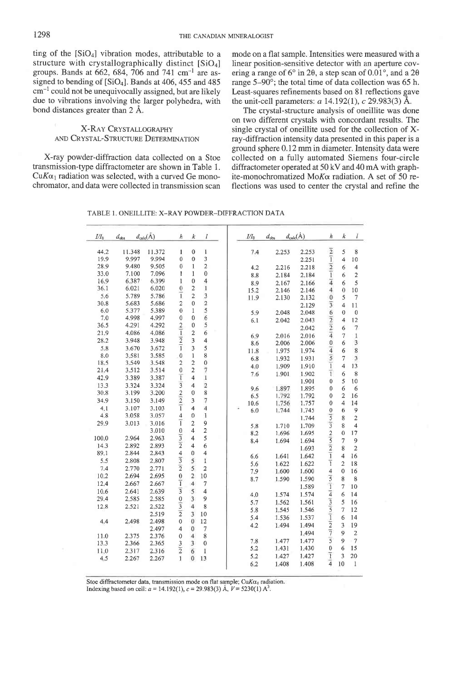ting of the  $[SiO_4]$  vibration modes, attributable to a structure with crystallographically distinct  $[SiO_4]$ groups. Bands at 662, 684, 706 and 741 cm<sup>-1</sup> are assigned to bending of  $[SiO_4]$ . Bands at 406, 455 and 485  $cm^{-1}$  could not be unequivocally assigned, but are likely due to vibrations involving the larger polyhedra, with bond distances greater than 2 A.

# X-RAY CRYSTALLOGRAPHY AND CRYSTAL-STRUCTURE DETERMINATION

X-ray powder-diffraction data collected on a Stoe transmission-type diffractometer are shown in Table 1.  $CuK\alpha_1$  radiation was selected, with a curved Ge monochromator, and data were collected in transmission scan mode on a flat sample. Intensities were measured with a linear position-sensitive detector with an aperture covering a range of 6° in 20, a step scan of  $0.01$ °, and a 20 range  $5-90^\circ$ ; the total time of data collection was 65 h. Least-squares refinements based on 8l reflections gave the unit-cell parameters:  $a$  14.192(1),  $c$  29.983(3) Å.

The crystal-structure analysis of oneillite was done on two different crystals with concordant results. The single crystal of oneillite used for the collection of Xray-diffraction intensity data presented in this paper is a ground sphere 0.12 mm in diameter. Intensity data were collected on a fully automated Siemens four-circie diffractometer operated at 50 kV and 40 mA with graphite-monochromatized Mo $K\alpha$  radiation. A set of 50 reflections was used to center the crystal and refine the

| TABLE 1. ONEILLITE: X-RAY POWDER-DIFFRACTION DATA |  |
|---------------------------------------------------|--|
|---------------------------------------------------|--|

| 11.348<br>11.372<br>$\mathbf{0}$<br>$\,1\,$<br>44.2<br>$\mathbf{1}$<br>3<br>19.9<br>9.997<br>9.994<br>$\mathbf 0$<br>0<br>9.505<br>$\overline{2}$<br>28.9<br>9.480<br>$\overline{0}$<br>$\mathbf{I}$<br>7.096<br>$\theta$<br>33.0<br>7.100<br>$\mathbf{1}$<br>1<br>$\overline{4}$<br>16.9<br>6.387<br>$\mathbf{0}$<br>6.399<br>I<br>$\mathbf{I}$<br>2<br>36.1<br>6,021<br>6,020<br>$\bf{0}$<br>ī<br>$\overline{2}$<br>$\frac{3}{2}$<br>5.6<br>5,789<br>5.786<br>5.683<br>5.686<br>$\overline{2}$<br>$\theta$<br>30.8<br>$\frac{5}{6}$<br>6.0<br>5.377<br>5.389<br>$\bf{0}$<br>$\mathbf{1}$<br>4.998<br>4.997<br>$\mathbf{0}$<br>0<br>7.0<br>5<br>$\overline{c}$<br>36.5<br>4.291<br>4.292<br>0<br>$\overline{1}$<br>$\overline{2}$<br>$\overline{6}$<br>4.086<br>4.086<br>21.9<br>$\overline{2}$<br>$\overline{\mathbf{3}}$<br>$\overline{\mathbf{4}}$<br>28.2<br>3.948<br>3.948<br>$\overline{1}$<br>$\overline{\mathbf{3}}$<br>5<br>5.8<br>3.670<br>3.672<br>$\bf{0}$<br>8<br>8.0<br>3.581<br>3.585<br>$\mathbf{1}$ |
|-----------------------------------------------------------------------------------------------------------------------------------------------------------------------------------------------------------------------------------------------------------------------------------------------------------------------------------------------------------------------------------------------------------------------------------------------------------------------------------------------------------------------------------------------------------------------------------------------------------------------------------------------------------------------------------------------------------------------------------------------------------------------------------------------------------------------------------------------------------------------------------------------------------------------------------------------------------------------------------------------------------------------|
|                                                                                                                                                                                                                                                                                                                                                                                                                                                                                                                                                                                                                                                                                                                                                                                                                                                                                                                                                                                                                       |
| 4.2<br>8.8<br>15.2<br>5.9<br>11.8<br>6.8                                                                                                                                                                                                                                                                                                                                                                                                                                                                                                                                                                                                                                                                                                                                                                                                                                                                                                                                                                              |
| 8,9<br>11.9<br>6.1<br>6,9<br>8.6                                                                                                                                                                                                                                                                                                                                                                                                                                                                                                                                                                                                                                                                                                                                                                                                                                                                                                                                                                                      |
|                                                                                                                                                                                                                                                                                                                                                                                                                                                                                                                                                                                                                                                                                                                                                                                                                                                                                                                                                                                                                       |
|                                                                                                                                                                                                                                                                                                                                                                                                                                                                                                                                                                                                                                                                                                                                                                                                                                                                                                                                                                                                                       |
|                                                                                                                                                                                                                                                                                                                                                                                                                                                                                                                                                                                                                                                                                                                                                                                                                                                                                                                                                                                                                       |
|                                                                                                                                                                                                                                                                                                                                                                                                                                                                                                                                                                                                                                                                                                                                                                                                                                                                                                                                                                                                                       |
|                                                                                                                                                                                                                                                                                                                                                                                                                                                                                                                                                                                                                                                                                                                                                                                                                                                                                                                                                                                                                       |
|                                                                                                                                                                                                                                                                                                                                                                                                                                                                                                                                                                                                                                                                                                                                                                                                                                                                                                                                                                                                                       |
|                                                                                                                                                                                                                                                                                                                                                                                                                                                                                                                                                                                                                                                                                                                                                                                                                                                                                                                                                                                                                       |
|                                                                                                                                                                                                                                                                                                                                                                                                                                                                                                                                                                                                                                                                                                                                                                                                                                                                                                                                                                                                                       |
|                                                                                                                                                                                                                                                                                                                                                                                                                                                                                                                                                                                                                                                                                                                                                                                                                                                                                                                                                                                                                       |
|                                                                                                                                                                                                                                                                                                                                                                                                                                                                                                                                                                                                                                                                                                                                                                                                                                                                                                                                                                                                                       |
|                                                                                                                                                                                                                                                                                                                                                                                                                                                                                                                                                                                                                                                                                                                                                                                                                                                                                                                                                                                                                       |
|                                                                                                                                                                                                                                                                                                                                                                                                                                                                                                                                                                                                                                                                                                                                                                                                                                                                                                                                                                                                                       |
| $\overline{c}$<br>$\mathbf{0}$<br>$\overline{c}$<br>18.5<br>3.549<br>3.548<br>4.0                                                                                                                                                                                                                                                                                                                                                                                                                                                                                                                                                                                                                                                                                                                                                                                                                                                                                                                                     |
| 1.909<br>$\overline{2}$<br>$\mathbf 0$<br>7<br>21.4<br>3.512<br>3.514<br>7.6<br>1.901                                                                                                                                                                                                                                                                                                                                                                                                                                                                                                                                                                                                                                                                                                                                                                                                                                                                                                                                 |
| $\overline{1}$<br>$\mathbf{1}$<br>$\overline{4}$<br>42.9<br>3.389<br>3.387                                                                                                                                                                                                                                                                                                                                                                                                                                                                                                                                                                                                                                                                                                                                                                                                                                                                                                                                            |
| $\overline{3}$<br>2<br>3.324<br>3.324<br>13.3<br>$\overline{4}$<br>9.6<br>1.897                                                                                                                                                                                                                                                                                                                                                                                                                                                                                                                                                                                                                                                                                                                                                                                                                                                                                                                                       |
| 8<br>30.8<br>3.199<br>3.200<br>$\mathbf{0}$<br>6.5<br>1.792                                                                                                                                                                                                                                                                                                                                                                                                                                                                                                                                                                                                                                                                                                                                                                                                                                                                                                                                                           |
| $rac{2}{1}$<br>$\overline{7}$<br>3<br>34.9<br>3.150<br>3.149<br>1.756<br>10.6                                                                                                                                                                                                                                                                                                                                                                                                                                                                                                                                                                                                                                                                                                                                                                                                                                                                                                                                         |
| $\overline{\mathbf{4}}$<br>4<br>4.1<br>3.107<br>3.103<br>6.0<br>1.744                                                                                                                                                                                                                                                                                                                                                                                                                                                                                                                                                                                                                                                                                                                                                                                                                                                                                                                                                 |
| 4.8<br>3.058<br>4<br>$\bf{0}$<br>1<br>3.057                                                                                                                                                                                                                                                                                                                                                                                                                                                                                                                                                                                                                                                                                                                                                                                                                                                                                                                                                                           |
| ī<br>$\overline{2}$<br>9<br>3.016<br>29.9<br>3.013<br>5.8<br>1.710                                                                                                                                                                                                                                                                                                                                                                                                                                                                                                                                                                                                                                                                                                                                                                                                                                                                                                                                                    |
| 2<br>3.010<br>$\mathbf 0$<br>$\overline{4}$<br>8.2<br>1.696                                                                                                                                                                                                                                                                                                                                                                                                                                                                                                                                                                                                                                                                                                                                                                                                                                                                                                                                                           |
| $\overline{3}$<br>$\overline{5}$<br>2.963<br>$\overline{\mathbf{4}}$<br>100.0<br>2.964<br>1.694                                                                                                                                                                                                                                                                                                                                                                                                                                                                                                                                                                                                                                                                                                                                                                                                                                                                                                                       |
| 8.4<br>$\frac{1}{2}$<br>$\overline{\mathbf{4}}$<br>6<br>14.3<br>2.892<br>2.893                                                                                                                                                                                                                                                                                                                                                                                                                                                                                                                                                                                                                                                                                                                                                                                                                                                                                                                                        |
| $\overline{4}$<br>89.1<br>2.844<br>$\theta$<br>$\overline{4}$<br>2.843                                                                                                                                                                                                                                                                                                                                                                                                                                                                                                                                                                                                                                                                                                                                                                                                                                                                                                                                                |
| 6.6<br>1.641<br>$\overline{3}$<br>$\overline{5}$<br>$\mathbf{1}$<br>5.5<br>2.808<br>2.807                                                                                                                                                                                                                                                                                                                                                                                                                                                                                                                                                                                                                                                                                                                                                                                                                                                                                                                             |
| 5.6<br>1.622<br>$\overline{2}$<br>2.770<br>2.771<br>5<br>$\overline{2}$<br>7.4                                                                                                                                                                                                                                                                                                                                                                                                                                                                                                                                                                                                                                                                                                                                                                                                                                                                                                                                        |
| 7.9<br>1.600<br>10.2<br>2.694<br>2.695<br>$\bf{0}$<br>$\overline{c}$<br>10                                                                                                                                                                                                                                                                                                                                                                                                                                                                                                                                                                                                                                                                                                                                                                                                                                                                                                                                            |
| 8.7<br>1.590<br>ī<br>12,4<br>2.667<br>2,667<br>$\overline{4}$<br>$\overline{7}$                                                                                                                                                                                                                                                                                                                                                                                                                                                                                                                                                                                                                                                                                                                                                                                                                                                                                                                                       |
| $\overline{3}$<br>5<br>$\overline{\mathbf{4}}$<br>10.6<br>2,641<br>2.639                                                                                                                                                                                                                                                                                                                                                                                                                                                                                                                                                                                                                                                                                                                                                                                                                                                                                                                                              |
| 4.0<br>1.574<br>$\overline{3}$<br>29.4<br>2.585<br>9                                                                                                                                                                                                                                                                                                                                                                                                                                                                                                                                                                                                                                                                                                                                                                                                                                                                                                                                                                  |
| 2,585<br>$\boldsymbol{0}$<br>1.562<br>5.7<br>$\frac{1}{3}$                                                                                                                                                                                                                                                                                                                                                                                                                                                                                                                                                                                                                                                                                                                                                                                                                                                                                                                                                            |
| $\overline{4}$<br>8<br>12.8<br>2.521<br>2.522<br>5.8<br>1.545                                                                                                                                                                                                                                                                                                                                                                                                                                                                                                                                                                                                                                                                                                                                                                                                                                                                                                                                                         |
| $\overline{2}$<br>2.519<br>$\overline{\mathbf{3}}$<br>10<br>5.4<br>1.536                                                                                                                                                                                                                                                                                                                                                                                                                                                                                                                                                                                                                                                                                                                                                                                                                                                                                                                                              |
| $\mathbf 0$<br>2.498<br>$\alpha$<br>12<br>4.4<br>2.498<br>4.2<br>1.494                                                                                                                                                                                                                                                                                                                                                                                                                                                                                                                                                                                                                                                                                                                                                                                                                                                                                                                                                |
| 2.497<br>4<br>$\bf{0}$<br>$\overline{7}$                                                                                                                                                                                                                                                                                                                                                                                                                                                                                                                                                                                                                                                                                                                                                                                                                                                                                                                                                                              |
| $\overline{4}$<br>8<br>11.0<br>2.375<br>2.376<br>0<br>7.8<br>1.477                                                                                                                                                                                                                                                                                                                                                                                                                                                                                                                                                                                                                                                                                                                                                                                                                                                                                                                                                    |
| 3<br>13.3<br>2.366<br>2.365<br>3<br>$\mathbf{0}$<br>5,2<br>1.431                                                                                                                                                                                                                                                                                                                                                                                                                                                                                                                                                                                                                                                                                                                                                                                                                                                                                                                                                      |
| $\overline{2}$<br>11.0<br>2.317<br>2.316<br>$\overline{6}$<br>$\mathbf{1}$<br>5.2<br>1.427                                                                                                                                                                                                                                                                                                                                                                                                                                                                                                                                                                                                                                                                                                                                                                                                                                                                                                                            |
| 1<br>$\overline{0}$<br>13<br>2.267<br>2.267<br>4,5                                                                                                                                                                                                                                                                                                                                                                                                                                                                                                                                                                                                                                                                                                                                                                                                                                                                                                                                                                    |
| 6.2<br>1.408                                                                                                                                                                                                                                                                                                                                                                                                                                                                                                                                                                                                                                                                                                                                                                                                                                                                                                                                                                                                          |

Stoe diffractometer data, transmission mode on flat sample; CuK $\alpha_1$  radiation. Indexing based on cell:  $a = 14.192(1)$ ,  $c = 29.983(3)$  Å,  $V = 5230(1)$  A<sup>3</sup>.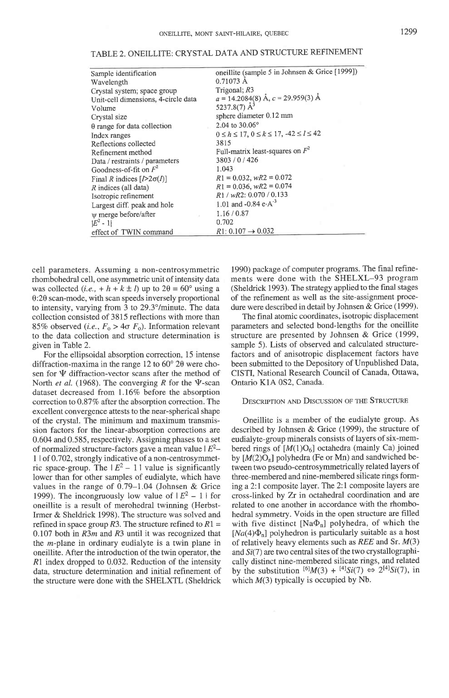| oneillite (sample 5 in Johnsen & Grice [1999])<br>Sample identification      |  |
|------------------------------------------------------------------------------|--|
|                                                                              |  |
| 0.71073 A<br>Wavelength                                                      |  |
| Trigonal; $R3$<br>Crystal system; space group                                |  |
| $a = 14.2084(8)$ Å, $c = 29.959(3)$ Å<br>Unit-cell dimensions, 4-circle data |  |
| 5237.8(7) $A^3$<br>Volume                                                    |  |
| sphere diameter 0.12 mm<br>Crystal size                                      |  |
| 2.04 to 30.06°<br>$\theta$ range for data collection                         |  |
| $0 \le h \le 17, 0 \le k \le 17, -42 \le l \le 42$<br>Index ranges           |  |
| 3815<br>Reflections collected                                                |  |
| Full-matrix least-squares on $F^2$<br>Refinement method                      |  |
| 3803/0/426<br>Data / restraints / parameters                                 |  |
| Goodness-of-fit on $F^2$<br>1.043                                            |  |
| $R1 = 0.032$ , $wR2 = 0.072$<br>Final R indices $[I>2\sigma(I)]$             |  |
| $R1 = 0.036$ , $wR2 = 0.074$<br>$R$ indices (all data)                       |  |
| $R1 / wR2$ : 0.070 / 0.133<br>Isotropic refinement                           |  |
| 1.01 and -0.84 e $-A^{-3}$<br>Largest diff, peak and hole                    |  |
| 1.16/0.87<br>w merge before/after                                            |  |
| 0.702<br>$ E^2 - 1 $                                                         |  |
| $R1: 0.107 \rightarrow 0.032$<br>effect of TWIN command                      |  |

| TABLE 2. ONEILLITE: CRYSTAL DATA AND STRUCTURE REFINEMENT |  |
|-----------------------------------------------------------|--|
|-----------------------------------------------------------|--|

cell parameters. Assuming a non-centrosymmetric rhombohedral cell, one asymmetric unit of intensity data was collected (*i.e.*,  $+ h + k \pm l$ ) up to  $2\theta = 60^\circ$  using a  $0:2\theta$  scan-mode, with scan speeds inversely proportional to intensity, varying from 3 to 29.3°/minute. The data collection consisted of 3815 reflections with more than 85% observed (*i.e.*,  $F_0 > 4\sigma$   $F_0$ ). Information relevant to the data collection and structure determination is given in Table 2.

For the ellipsoidal absorption correction, 15 intense diffraction-maxima in the range 12 to  $60^{\circ}$  20 were chosen for  $\Psi$  diffraction-vector scans after the method of North et al. (1968). The converging  $R$  for the  $\Psi$ -scan dataset decreased from 1.16% before the absorption correction to  $0.87\%$  after the absorption correction. The excellent convergence attests to the near-spherical shape of the crystal. The minimum and maximum transmission factors for the linear-absorption corrections are 0.604 and 0.585, respectively. Assigning phases to a set of normalized structure-factors gave a mean value  $E^2$ -1 | of 0.702, strongly indicative of a non-centrosymmetric space-group. The  $|E^2 - 1|$  value is significantly lower than for other samples of eudialyte, which have values in the range of 0.79-1.04 (Johnsen & Grice 1999). The incongruously low value of  $|E^2 - 1|$  for oneillite is a result of merohedral twinning (Herbst-Irmer & Sheldrick 1998). The structure was solved and refined in space group R3. The structure refined to  $R1 =$ 0.107 both in  $R3m$  and  $R3$  until it was recognized that the  $m$ -plane in ordinary eudialyte is a twin plane in oneillite. After the introduction of the twin operator, the R1 index dropped to 0.032. Reduction of the intensity data, structure determination and initial refinement of the structure were done with the SHELXTL (Sheldrick 1990) package of computer programs. The final refinements were done with the SHELXL-93 program (Sheldrick 1993). The strategy applied to the final stages of the refinement as well as the site-assignment procedure were described in detail by Johnsen & Grice (1999).

The final atomic coordinates, isotropic displacement parameters and selected bond-lengths for the oneillite structure are presented by Johnsen & Grice (1999, sample 5). Lists of observed and calculated structurefactors and of anisotropic displacement factors have been submitted to the Depository of Unpublished Data, CISTI, National Research Council of Canada, Ottawa, Ontario KIA 0S2, Canada.

# DESCRIPTION AND DISCUSSION OF THE STRUCTURE

Oneillite is a member of the eudialyte group. As described by Johnsen & Grice (1999), the structure of eudialyte-group minerals consists of layers of six-membered rings of  $[M(1)O_6]$  octahedra (mainly Ca) joined by  $[M(2)O_n]$  polyhedra (Fe or Mn) and sandwiched between two pseudo-centrosymmetrically related layers of three-membered and nine-membered silicate rings forming a2:l composite layer. The 2: I composite layers are crosslinked by Zr in octahedral coordination and are related to one another in accordance with the rhombohedral symmetry. Voids in the open structure are filled with five distinct  $[Na\Phi_n]$  polyhedra, of which the  $[Na(4)\Phi_n]$  polyhedron is particularly suitable as a host of relatively heavy elements such as  $REE$  and Sr.  $M(3)$ and  $Si(7)$  are two central sites of the two crystallographically distinct nine-membered silicate rings, and related by the substitution  $^{[6]}M(3) + ^{[4]}Si(7) \Leftrightarrow 2^{[4]}Si(7)$ , in which  $M(3)$  typically is occupied by Nb.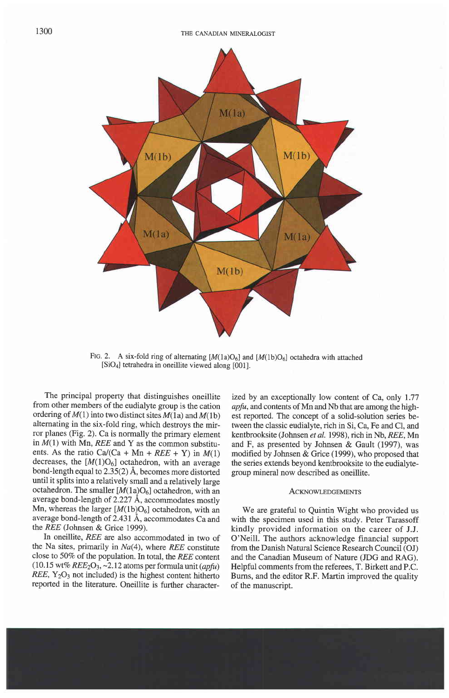

Ftg. 2. A six-fold ring of alternating  $[M(1a)O_6]$  and  $[M(1b)O_6]$  octahedra with attached [SiOa] tetrahedra in oneillite viewed along [001].

The principal property that distinguishes oneillite from other members of the eudialyte group is the cation ordering of  $M(1)$  into two distinct sites  $M(1a)$  and  $M(1b)$ altemating in the six-fold ring, which destroys the mirror planes (Fig. 2). Ca is normally the primary element in  $M(1)$  with Mn, REE and Y as the common substituents. As the ratio Ca/(Ca + Mn + REE + Y) in  $M(1)$ decreases, the  $[M(1)O_6]$  octahedron, with an average bond-length equal to 2.35(2) A, becomes more distorted until it splits into a relatively small and a relatively large octahedron. The smaller  $[M(1a)O_6]$  octahedron, with an average bond-length of 2.227 A, accommodates mostly Mn, whereas the larger  $[M(1b)O_6]$  octahedron, with an average bond-length of 2.431 Å, accommodates Ca and the REE (Johnsen & Grice 1999).

In oneillite, REE are also accommodated in two of the Na sites, primarily in  $Na(4)$ , where REE constitute close to 507o of the population. In total, the REE content  $(10.15 \text{ wt\%} REE_2O_3, -2.12 \text{ atoms per formula unit} (apfu)$  $REE, Y<sub>2</sub>O<sub>3</sub>$  not included) is the highest content hitherto reported in the literature. Oneillite is further characterized by an exceptionally low content of Ca, only 1.77 apfu, and contents of Mn and Nb that are among the highest reported. The concept of a solid-solution series between the classic eudialyte, rich in Si, Ca, Fe and Cl, and kentbrooksite (Johnsen et al. 1998), rich in Nb, REE, Mn and F, as presented by Johnsen & Gault (1997), was modified by Johnsen & Grice (1999), who proposed that the series extends beyond kentbrooksite to the eudialytegroup mineral now described as oneillite.

#### **ACKNOWLEDGEMENTS**

We are grateful to Quintin Wight who provided us with the specimen used in this study. Peter Tarassoff kindly provided information on the career of J.J. O'Neill. The authors acknowledge financial support from the Danish Natural Science Research Council (OJ) and the Canadian Museum of Nature (JDG and RAG). Helpful comments from the referees, T. Birkett and P.C. Burns, and the editor R.F. Martin improved the quality of the manuscript.